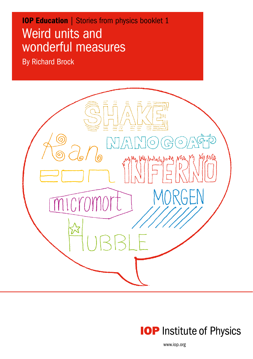# Weird units and wonderful measures **IOP Education | Stories from physics booklet 1**

By Richard Brock

Stories from physics





www.iop.org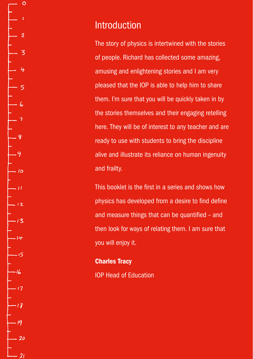Introduction

The story of physics is intertwined with the stories of people. Richard has collected some amazing, amusing and enlightening stories and I am very pleased that the IOP is able to help him to share them. I'm sure that you will be quickly taken in by the stories themselves and their engaging retelling here. They will be of interest to any teacher and are ready to use with students to bring the discipline alive and illustrate its reliance on human ingenuity and frailty.

This booklet is the first in a series and shows how physics has developed from a desire to find define and measure things that can be quantified – and then look for ways of relating them. I am sure that you will enjoy it.

Charles Tracy IOP Head of Education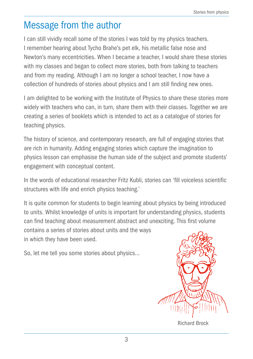### Message from the author

I can still vividly recall some of the stories I was told by my physics teachers. I remember hearing about Tycho Brahe's pet elk, his metallic false nose and Newton's many eccentricities. When I became a teacher, I would share these stories with my classes and began to collect more stories, both from talking to teachers and from my reading. Although I am no longer a school teacher, I now have a collection of hundreds of stories about physics and I am still finding new ones.

I am delighted to be working with the Institute of Physics to share these stories more widely with teachers who can, in turn, share them with their classes. Together we are creating a series of booklets which is intended to act as a catalogue of stories for teaching physics.

The history of science, and contemporary research, are full of engaging stories that are rich in humanity. Adding engaging stories which capture the imagination to physics lesson can emphasise the human side of the subject and promote students' engagement with conceptual content.

In the words of educational researcher Fritz Kubli, stories can 'fill voiceless scientific structures with life and enrich physics teaching.'

It is quite common for students to begin learning about physics by being introduced to units. Whilst knowledge of units is important for understanding physics, students can find teaching about measurement abstract and unexciting. This first volume contains a series of stories about units and the ways in which they have been used.

So, let me tell you some stories about physics…



Richard Brock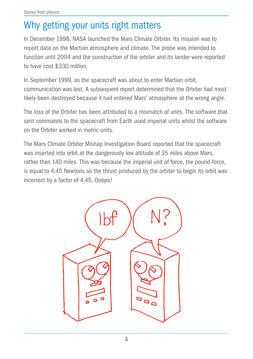## Why getting your units right matters

In December 1998, NASA launched the Mars Climate Orbiter. Its mission was to report data on the Martian atmosphere and climate. The probe was intended to function until 2004 and the construction of the orbiter and its lander were reported to have cost \$330 million.

In September 1999, as the spacecraft was about to enter Martian orbit, communication was lost. A subsequent report determined that the Orbiter had most likely been destroyed because it had entered Mars' atmosphere at the wrong angle.

The loss of the Orbiter has been attributed to a mismatch of units. The software that sent commands to the spacecraft from Earth used imperial units whilst the software on the Orbiter worked in metric units.

The Mars Climate Orbiter Mishap Investigation Board reported that the spacecraft was inserted into orbit at the dangerously low altitude of 35 miles above Mars, rather than 140 miles. This was because the imperial unit of force, the pound-force, is equal to 4.45 Newtons so the thrust produced by the orbiter to begin its orbit was incorrect by a factor of 4.45. Ooops!

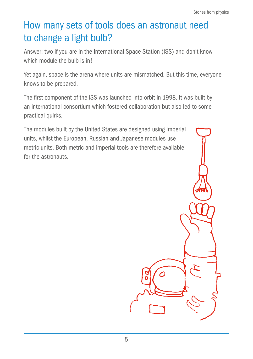## How many sets of tools does an astronaut need to change a light bulb?

Answer: two if you are in the International Space Station (ISS) and don't know which module the bulb is in!

Yet again, space is the arena where units are mismatched. But this time, everyone knows to be prepared.

The first component of the ISS was launched into orbit in 1998. It was built by an international consortium which fostered collaboration but also led to some practical quirks.

The modules built by the United States are designed using Imperial units, whilst the European, Russian and Japanese modules use metric units. Both metric and imperial tools are therefore available for the astronauts.

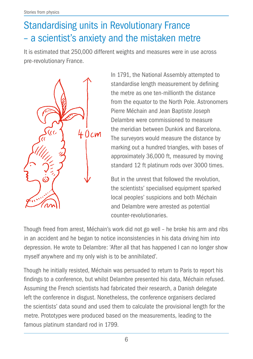## Standardising units in Revolutionary France – a scientist's anxiety and the mistaken metre

It is estimated that 250,000 different weights and measures were in use across pre-revolutionary France.



In 1791, the National Assembly attempted to standardise length measurement by defining the metre as one ten-millionth the distance from the equator to the North Pole. Astronomers Pierre Méchain and Jean Baptiste Joseph Delambre were commissioned to measure the meridian between Dunkirk and Barcelona. The surveyors would measure the distance by marking out a hundred triangles, with bases of approximately 36,000 ft, measured by moving standard 12 ft platinum rods over 3000 times.

But in the unrest that followed the revolution, the scientists' specialised equipment sparked local peoples' suspicions and both Méchain and Delambre were arrested as potential counter-revolutionaries.

Though freed from arrest, Méchain's work did not go well – he broke his arm and ribs in an accident and he began to notice inconsistencies in his data driving him into depression. He wrote to Delambre: 'After all that has happened I can no longer show myself anywhere and my only wish is to be annihilated'.

Though he initially resisted, Méchain was persuaded to return to Paris to report his findings to a conference, but whilst Delambre presented his data, Méchain refused. Assuming the French scientists had fabricated their research, a Danish delegate left the conference in disgust. Nonetheless, the conference organisers declared the scientists' data sound and used them to calculate the provisional length for the metre. Prototypes were produced based on the measurements, leading to the famous platinum standard rod in 1799.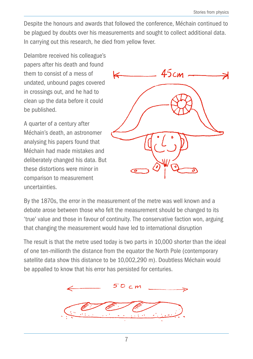Despite the honours and awards that followed the conference, Méchain continued to be plagued by doubts over his measurements and sought to collect additional data. In carrying out this research, he died from yellow fever.

Delambre received his colleague's papers after his death and found them to consist of a mess of undated, unbound pages covered in crossings out, and he had to clean up the data before it could be published.

A quarter of a century after Méchain's death, an astronomer analysing his papers found that Méchain had made mistakes and deliberately changed his data. But these distortions were minor in comparison to measurement uncertainties.



By the 1870s, the error in the measurement of the metre was well known and a debate arose between those who felt the measurement should be changed to its 'true' value and those in favour of continuity. The conservative faction won, arguing that changing the measurement would have led to international disruption

The result is that the metre used today is two parts in 10,000 shorter than the ideal of one ten-millionth the distance from the equator the North Pole (contemporary satellite data show this distance to be 10,002,290 m). Doubtless Méchain would be appalled to know that his error has persisted for centuries.

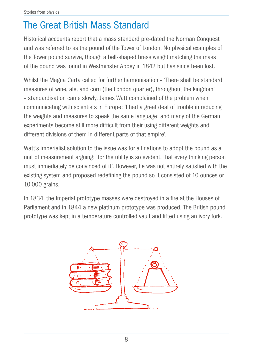## The Great British Mass Standard

Historical accounts report that a mass standard pre-dated the Norman Conquest and was referred to as the pound of the Tower of London. No physical examples of the Tower pound survive, though a bell-shaped brass weight matching the mass of the pound was found in Westminster Abbey in 1842 but has since been lost.

Whilst the Magna Carta called for further harmonisation – 'There shall be standard measures of wine, ale, and corn (the London quarter), throughout the kingdom' – standardisation came slowly. James Watt complained of the problem when communicating with scientists in Europe: 'I had a great deal of trouble in reducing the weights and measures to speak the same language; and many of the German experiments become still more difficult from their using different weights and different divisions of them in different parts of that empire'.

Watt's imperialist solution to the issue was for all nations to adopt the pound as a unit of measurement arguing: 'for the utility is so evident, that every thinking person must immediately be convinced of it'. However, he was not entirely satisfied with the existing system and proposed redefining the pound so it consisted of 10 ounces or 10,000 grains.

In 1834, the Imperial prototype masses were destroyed in a fire at the Houses of Parliament and in 1844 a new platinum prototype was produced. The British pound prototype was kept in a temperature controlled vault and lifted using an ivory fork.

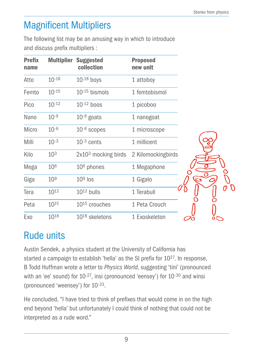## Magnificent Multipliers

The following list may be an amusing way in which to introduce and discuss prefix multipliers :

| <b>Prefix</b><br>name | <b>Multiplier</b> | <b>Suggested</b><br>collection | <b>Proposed</b><br>new unit |                |
|-----------------------|-------------------|--------------------------------|-----------------------------|----------------|
| Atto                  | $10^{-18}$        | $10^{-18}$ boys                | 1 attoboy                   |                |
| Femto                 | $10^{-15}$        | $10^{-15}$ bismols             | 1 femtobismol               |                |
| Pico                  | $10^{-12}$        | $10^{-12}$ boos                | 1 picoboo                   |                |
| Nano                  | $10^{-9}$         | $10^{-9}$ goats                | 1 nanogoat                  |                |
| Micro                 | $10 - 6$          | $10-6$ scopes                  | 1 microscope                |                |
| Milli                 | $10^{-3}$         | $10^{-3}$ cents                | 1 millicent                 |                |
| Kilo                  | 10 <sup>3</sup>   | $2x103$ mocking birds          | 2 Kilomockingbirds          |                |
| Mega                  | 106               | $106$ phones                   | 1 Megaphone                 |                |
| Giga                  | 10 <sup>9</sup>   | $109$ los                      | 1 Gigalo                    |                |
| Tera                  | $10^{12}$         | $10^{12}$ bulls                | 1 Terabull                  |                |
| Peta                  | 1015              | $10^{15}$ crouches             | 1 Peta Crouch               |                |
| Exo                   | 1018              | $10^{18}$ skeletons            | 1 Exoskeleton               | $\circ\subset$ |

## Rude units

Austin Sendek, a physics student at the University of California has started a campaign to establish 'hella' as the SI prefix for 1027. In response, B Todd Huffman wrote a letter to *Physics World*, suggesting 'tini' (pronounced with an 'ee' sound) for 10<sup>-27</sup>, insi (pronounced 'eensey') for 10<sup>-30</sup> and winsi (pronounced 'weensey') for 10-33.

He concluded, "I have tried to think of prefixes that would come in on the high end beyond 'hella' but unfortunately I could think of nothing that could not be interpreted as a rude word."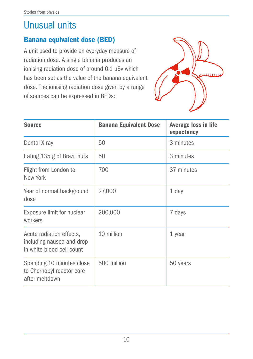### Unusual units

### Banana equivalent dose (BED)

A unit used to provide an everyday measure of radiation dose. A single banana produces an ionising radiation dose of around 0.1 μSv which has been set as the value of the banana equivalent dose. The ionising radiation dose given by a range of sources can be expressed in BEDs:



| <b>Source</b>                                                                      | <b>Banana Equivalent Dose</b> | <b>Average loss in life</b><br>expectancy |
|------------------------------------------------------------------------------------|-------------------------------|-------------------------------------------|
| Dental X-ray                                                                       | 50                            | 3 minutes                                 |
| Eating 135 g of Brazil nuts                                                        | 50                            | 3 minutes                                 |
| Flight from London to<br>New York                                                  | 700                           | 37 minutes                                |
| Year of normal background<br>dose                                                  | 27,000                        | 1 day                                     |
| Exposure limit for nuclear<br>workers                                              | 200,000                       | 7 days                                    |
| Acute radiation effects,<br>including nausea and drop<br>in white blood cell count | 10 million                    | 1 year                                    |
| Spending 10 minutes close<br>to Chernobyl reactor core<br>after meltdown           | 500 million                   | 50 years                                  |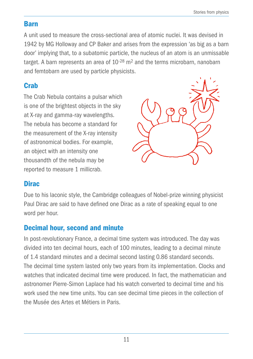#### Barn

A unit used to measure the cross-sectional area of atomic nuclei. It was devised in 1942 by MG Holloway and CP Baker and arises from the expression 'as big as a barn door' implying that, to a subatomic particle, the nucleus of an atom is an unmissable target. A barn represents an area of  $10^{-28}$  m<sup>2</sup> and the terms microbarn, nanobarn and femtobarn are used by particle physicists.

### **Crab**

The Crab Nebula contains a pulsar which is one of the brightest objects in the sky at X-ray and gamma-ray wavelengths. The nebula has become a standard for the measurement of the X-ray intensity of astronomical bodies. For example, an object with an intensity one thousandth of the nebula may be reported to measure 1 millicrab.



### **Dirac**

Due to his laconic style, the Cambridge colleagues of Nobel-prize winning physicist Paul Dirac are said to have defined one Dirac as a rate of speaking equal to one word per hour.

### Decimal hour, second and minute

In post-revolutionary France, a decimal time system was introduced. The day was divided into ten decimal hours, each of 100 minutes, leading to a decimal minute of 1.4 standard minutes and a decimal second lasting 0.86 standard seconds. The decimal time system lasted only two years from its implementation. Clocks and watches that indicated decimal time were produced. In fact, the mathematician and astronomer Pierre-Simon Laplace had his watch converted to decimal time and his work used the new time units. You can see decimal time pieces in the collection of the Musée des Artes et Métiers in Paris.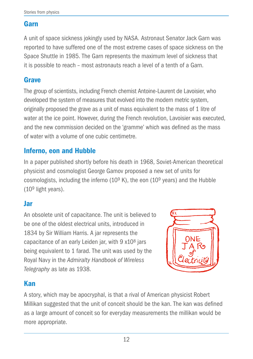#### Garn

A unit of space sickness jokingly used by NASA. Astronaut Senator Jack Garn was reported to have suffered one of the most extreme cases of space sickness on the Space Shuttle in 1985. The Garn represents the maximum level of sickness that it is possible to reach – most astronauts reach a level of a tenth of a Garn.

### Grave

The group of scientists, including French chemist Antoine-Laurent de Lavoisier, who developed the system of measures that evolved into the modern metric system, originally proposed the grave as a unit of mass equivalent to the mass of 1 litre of water at the ice point. However, during the French revolution, Lavoisier was executed, and the new commission decided on the 'gramme' which was defined as the mass of water with a volume of one cubic centimetre.

### Inferno, eon and Hubble

In a paper published shortly before his death in 1968, Soviet-American theoretical physicist and cosmologist George Gamov proposed a new set of units for cosmologists, including the inferno  $(10^9 \text{ K})$ , the eon  $(10^9 \text{ years})$  and the Hubble (109 light years).

#### Jar

An obsolete unit of capacitance. The unit is believed to be one of the oldest electrical units, introduced in 1834 by Sir William Harris. A jar represents the capacitance of an early Leiden jar, with  $9 \times 10^8$  jars being equivalent to 1 farad. The unit was used by the Royal Navy in the *Admiralty Handbook of Wireless Telegraphy* as late as 1938.



### Kan

A story, which may be apocryphal, is that a rival of American physicist Robert Millikan suggested that the unit of conceit should be the kan. The kan was defined as a large amount of conceit so for everyday measurements the millikan would be more appropriate.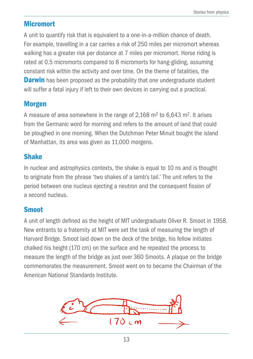#### **Micromort**

A unit to quantify risk that is equivalent to a one-in-a-million chance of death. For example, travelling in a car carries a risk of 250 miles per micromort whereas walking has a greater risk per distance at 7 miles per micromort. Horse riding is rated at 0.5 micromorts compared to 8 micromorts for hang-gliding, assuming constant risk within the activity and over time. On the theme of fatalities, the **Darwin** has been proposed as the probability that one undergraduate student will suffer a fatal injury if left to their own devices in carrying out a practical.

#### **Morgen**

A measure of area somewhere in the range of 2,168 m2 to 6,643 m2. It arises from the Germanic word for morning and refers to the amount of land that could be ploughed in one morning. When the Dutchman Peter Minuit bought the island of Manhattan, its area was given as 11,000 morgens.

#### Shake

In nuclear and astrophysics contexts, the shake is equal to 10 ns and is thought to originate from the phrase 'two shakes of a lamb's tail.' The unit refers to the period between one nucleus ejecting a neutron and the consequent fission of a second nucleus.

#### **Smoot**

A unit of length defined as the height of MIT undergraduate Oliver R. Smoot in 1958. New entrants to a fraternity at MIT were set the task of measuring the length of Harvard Bridge. Smoot laid down on the deck of the bridge, his fellow initiates chalked his height (170 cm) on the surface and he repeated the process to measure the length of the bridge as just over 360 Smoots. A plaque on the bridge commemorates the measurement. Smoot went on to became the Chairman of the American National Standards Institute.

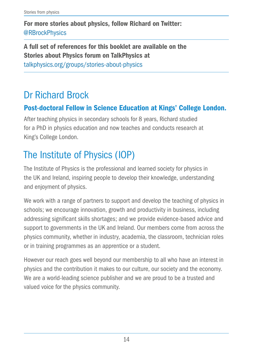For more stories about physics, follow Richard on Twitter: @RBrockPhysics

A full set of references for this booklet are available on the Stories about Physics forum on TalkPhysics at talkphysics.org/groups/stories-about-physics

## Dr Richard Brock

### Post-doctoral Fellow in Science Education at Kings' College London.

After teaching physics in secondary schools for 8 years, Richard studied for a PhD in physics education and now teaches and conducts research at King's College London.

## The Institute of Physics (IOP)

The Institute of Physics is the professional and learned society for physics in the UK and Ireland, inspiring people to develop their knowledge, understanding and enjoyment of physics.

We work with a range of partners to support and develop the teaching of physics in schools; we encourage innovation, growth and productivity in business, including addressing significant skills shortages; and we provide evidence-based advice and support to governments in the UK and Ireland. Our members come from across the physics community, whether in industry, academia, the classroom, technician roles or in training programmes as an apprentice or a student.

However our reach goes well beyond our membership to all who have an interest in physics and the contribution it makes to our culture, our society and the economy. We are a world-leading science publisher and we are proud to be a trusted and valued voice for the physics community.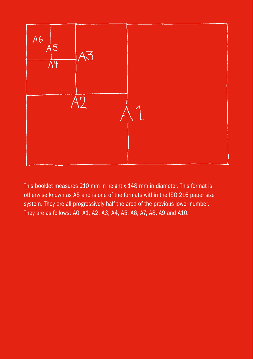

This booklet measures 210 mm in height x 148 mm in diameter. This format is otherwise known as A5 and is one of the formats within the ISO 216 paper size system. They are all progressively half the area of the previous lower number. They are as follows: A0, A1, A2, A3, A4, A5, A6, A7, A8, A9 and A10.